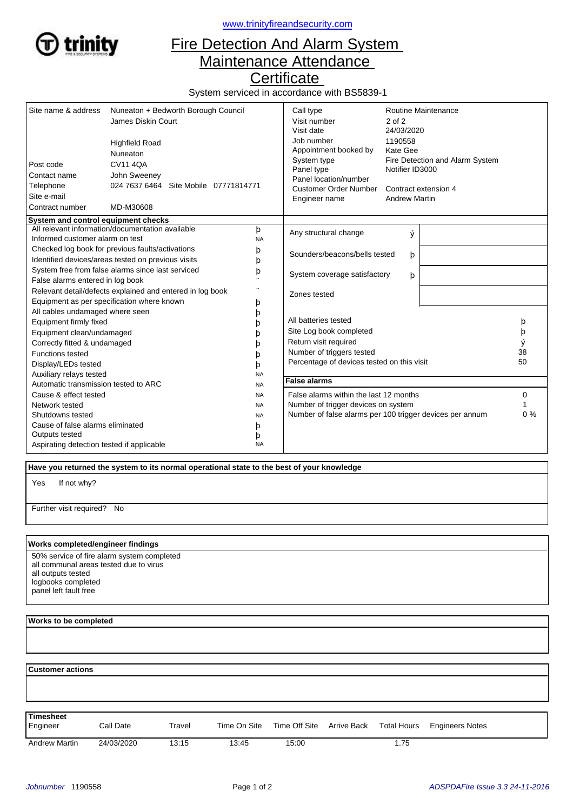

<www.trinityfireandsecurity.com>

## Fire Detection And Alarm System Maintenance Attendance

**Certificate** 

System serviced in accordance with BS5839-1

| Site name & address<br>Post code<br>Contact name<br>Telephone<br>Site e-mail<br>Contract number | Nuneaton + Bedworth Borough Council<br>James Diskin Court<br><b>Highfield Road</b><br>Nuneaton<br><b>CV11 4QA</b><br>John Sweeney<br>024 7637 6464 Site Mobile 07771814771<br>MD-M30608 |                                   | Call type<br>Visit number<br>Visit date<br>Job number<br>Appointment booked by<br>System type<br>Panel type<br>Panel location/number<br><b>Customer Order Number</b><br>Engineer name | Routine Maintenance<br>$2$ of $2$<br>24/03/2020<br>1190558<br>Kate Gee<br>Fire Detection and Alarm System<br>Notifier ID3000<br>Contract extension 4<br><b>Andrew Martin</b> |  |    |
|-------------------------------------------------------------------------------------------------|-----------------------------------------------------------------------------------------------------------------------------------------------------------------------------------------|-----------------------------------|---------------------------------------------------------------------------------------------------------------------------------------------------------------------------------------|------------------------------------------------------------------------------------------------------------------------------------------------------------------------------|--|----|
| System and control equipment checks                                                             | All relevant information/documentation available                                                                                                                                        |                                   |                                                                                                                                                                                       |                                                                                                                                                                              |  |    |
| Informed customer alarm on test                                                                 |                                                                                                                                                                                         | þ<br><b>NA</b>                    | Any structural change                                                                                                                                                                 | ý                                                                                                                                                                            |  |    |
| Checked log book for previous faults/activations                                                |                                                                                                                                                                                         | þ                                 |                                                                                                                                                                                       |                                                                                                                                                                              |  |    |
| Identified devices/areas tested on previous visits<br>þ                                         |                                                                                                                                                                                         |                                   | Sounders/beacons/bells tested                                                                                                                                                         | þ                                                                                                                                                                            |  |    |
| System free from false alarms since last serviced<br>þ                                          |                                                                                                                                                                                         | System coverage satisfactory<br>þ |                                                                                                                                                                                       |                                                                                                                                                                              |  |    |
| False alarms entered in log book                                                                |                                                                                                                                                                                         |                                   |                                                                                                                                                                                       |                                                                                                                                                                              |  |    |
| Relevant detail/defects explained and entered in log book                                       |                                                                                                                                                                                         | Zones tested                      |                                                                                                                                                                                       |                                                                                                                                                                              |  |    |
| Equipment as per specification where known<br>þ                                                 |                                                                                                                                                                                         |                                   |                                                                                                                                                                                       |                                                                                                                                                                              |  |    |
| All cables undamaged where seen                                                                 |                                                                                                                                                                                         | þ                                 |                                                                                                                                                                                       |                                                                                                                                                                              |  |    |
| Equipment firmly fixed                                                                          |                                                                                                                                                                                         | b                                 | All batteries tested                                                                                                                                                                  |                                                                                                                                                                              |  | þ  |
| Equipment clean/undamaged                                                                       |                                                                                                                                                                                         |                                   | Site Log book completed                                                                                                                                                               |                                                                                                                                                                              |  | þ  |
| Correctly fitted & undamaged<br>n                                                               |                                                                                                                                                                                         |                                   | Return visit required                                                                                                                                                                 |                                                                                                                                                                              |  |    |
| <b>Functions tested</b>                                                                         |                                                                                                                                                                                         | h                                 | Number of triggers tested                                                                                                                                                             |                                                                                                                                                                              |  | 38 |
| Display/LEDs tested                                                                             |                                                                                                                                                                                         | b                                 | Percentage of devices tested on this visit                                                                                                                                            |                                                                                                                                                                              |  | 50 |
| Auxiliary relays tested                                                                         |                                                                                                                                                                                         | <b>NA</b>                         |                                                                                                                                                                                       |                                                                                                                                                                              |  |    |
| Automatic transmission tested to ARC<br><b>NA</b>                                               |                                                                                                                                                                                         | <b>False alarms</b>               |                                                                                                                                                                                       |                                                                                                                                                                              |  |    |
| Cause & effect tested<br><b>NA</b>                                                              |                                                                                                                                                                                         |                                   | False alarms within the last 12 months                                                                                                                                                |                                                                                                                                                                              |  | 0  |
| Network tested<br><b>NA</b>                                                                     |                                                                                                                                                                                         |                                   | Number of trigger devices on system                                                                                                                                                   |                                                                                                                                                                              |  |    |
| Shutdowns tested<br><b>NA</b>                                                                   |                                                                                                                                                                                         |                                   | Number of false alarms per 100 trigger devices per annum                                                                                                                              |                                                                                                                                                                              |  | 0% |
| Cause of false alarms eliminated                                                                |                                                                                                                                                                                         | þ                                 |                                                                                                                                                                                       |                                                                                                                                                                              |  |    |
| Outputs tested                                                                                  |                                                                                                                                                                                         | þ                                 |                                                                                                                                                                                       |                                                                                                                                                                              |  |    |
| Aspirating detection tested if applicable                                                       |                                                                                                                                                                                         | <b>NA</b>                         |                                                                                                                                                                                       |                                                                                                                                                                              |  |    |

 **Have you returned the system to its normal operational state to the best of your knowledge**

If not why? Yes

Further visit required? No

## **Works completed/engineer findings**

50% service of fire alarm system completed all communal areas tested due to virus all outputs tested logbooks completed panel left fault free

## **Works to be completed**

 **Customer actions**

| Timesheet<br>Engineer | Call Date  | Travel | Time On Site | Time Off Site Arrive Back | Total Hours | <b>Engineers Notes</b> |
|-----------------------|------------|--------|--------------|---------------------------|-------------|------------------------|
| <b>Andrew Martin</b>  | 24/03/2020 | 13:15  | 13:45        | 15:00                     | 1.75        |                        |